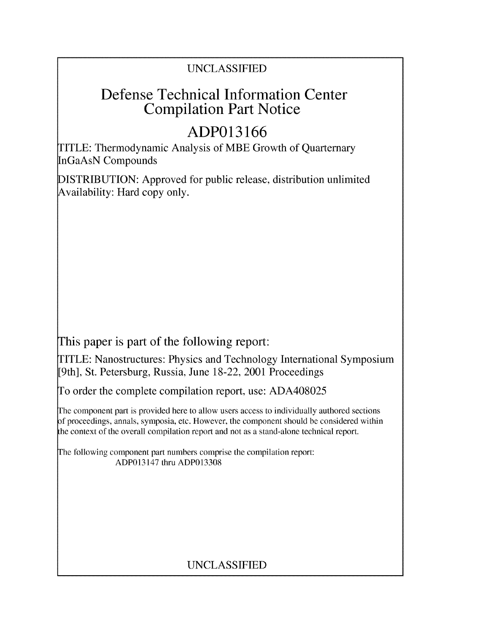### UNCLASSIFIED

## Defense Technical Information Center Compilation Part Notice

# **ADP013166**

TITLE: Thermodynamic Analysis of MBE Growth of Quarternary InGaAsN Compounds

DISTRIBUTION: Approved for public release, distribution unlimited Availability: Hard copy only.

This paper is part of the following report:

TITLE: Nanostructures: Physics and Technology International Symposium [9th], St. Petersburg, Russia, June 18-22, 2001 Proceedings

To order the complete compilation report, use: ADA408025

The component part is provided here to allow users access to individually authored sections f proceedings, annals, symposia, etc. However, the component should be considered within the context of the overall compilation report and not as a stand-alone technical report.

The following component part numbers comprise the compilation report: ADP013147 thru ADP013308

## UNCLASSIFIED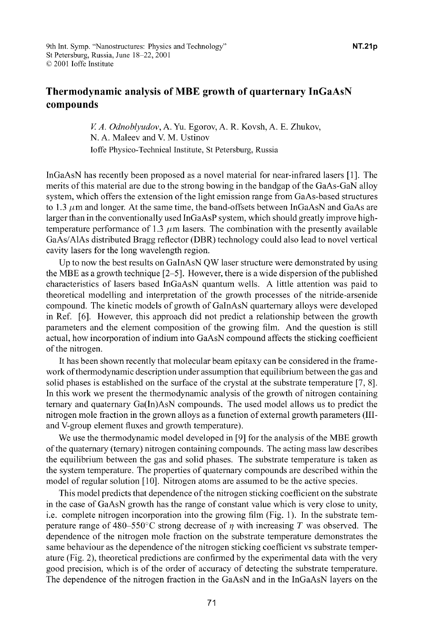### Thermodynamic analysis of MBE growth of quarternary InGaAsN compounds

*V A. Odnoblyudov,* A. Yu. Egorov, A. R. Kovsh, A. E. Zhukov, N. A. Maleev and V. M. Ustinov loffe Physico-Technical Institute, St Petersburg, Russia

InGaAsN has recently been proposed as a novel material for near-infrared lasers [1]. The merits of this material are due to the strong bowing in the bandgap of the GaAs-GaN alloy system, which offers the extension of the light emission range from GaAs-based structures to 1.3  $\mu$ m and longer. At the same time, the band-offsets between InGaAsN and GaAs are larger than in the conventionally used InGaAsP system, which should greatly improve hightemperature performance of 1.3  $\mu$ m lasers. The combination with the presently available GaAs/AlAs distributed Bragg reflector (DBR) technology could also lead to novel vertical cavity lasers for the long wavelength region.

Up to now the best results on GaInAsN QW laser structure were demonstrated by using the MBE as a growth technique [2-5]. However, there is a wide dispersion of the published characteristics of lasers based InGaAsN quantum wells. A little attention was paid to theoretical modelling and interpretation of the growth processes of the nitride-arsenide compound. The kinetic models of growth of GaInAsN quarternary alloys were developed in Ref. [6]. However, this approach did not predict a relationship between the growth parameters and the element composition of the growing film. And the question is still actual, how incorporation of indium into GaAsN compound affects the sticking coefficient of the nitrogen.

It has been shown recently that molecular beam epitaxy can be considered in the framework of thermodynamic description under assumption that equilibrium between the gas and solid phases is established on the surface of the crystal at the substrate temperature [7, **8].** In this work we present the thermodynamic analysis of the growth of nitrogen containing ternary and quaternary Ga(In)AsN compounds. The used model allows us to predict the nitrogen mole fraction in the grown alloys as a function of external growth parameters (IIIand V-group element fluxes and growth temperature).

We use the thermodynamic model developed in **[9]** for the analysis of the MBE growth of the quaternary (ternary) nitrogen containing compounds. The acting mass law describes the equilibrium between the gas and solid phases. The substrate temperature is taken as the system temperature. The properties of quaternary compounds are described within the model of regular solution [10]. Nitrogen atoms are assumed to be the active species.

This model predicts that dependence of the nitrogen sticking coefficient on the substrate in the case of GaAsN growth has the range of constant value which is very close to unity, i.e. complete nitrogen incorporation into the growing film (Fig. 1). In the substrate temperature range of 480–550°C strong decrease of  $\eta$  with increasing T was observed. The dependence of the nitrogen mole fraction on the substrate temperature demonstrates the same behaviour as the dependence of the nitrogen sticking coefficient vs substrate temperature (Fig. 2), theoretical predictions are confirmed by the experimental data with the very good precision, which is of the order of accuracy of detecting the substrate temperature. The dependence of the nitrogen fraction in the GaAsN and in the InGaAsN layers on the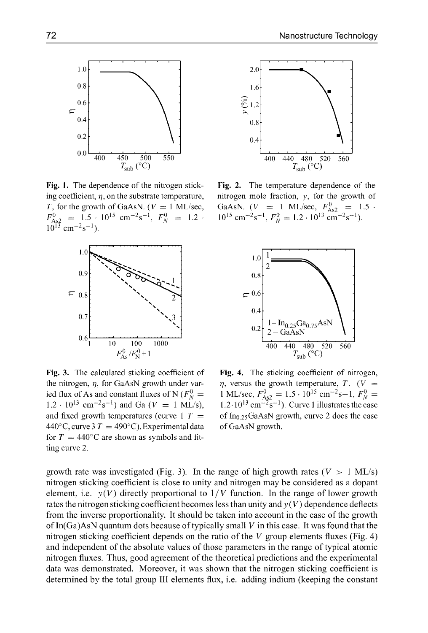

Fig. 1. The dependence of the nitrogen stick-<br>Fig. 2. The temperature dependence of the ing coefficient, **q,** on the substrate temperature, nitrogen mole fraction, y, for the growth of *T*, for the growth of GaAsN. ( $V = 1$  ML/sec, GaAsN. ( $V = 1$  ML/sec,  $F_{A_8}^0 = 1.5$  $F_{\text{As2}}^0$  = 1.5 · 10<sup>15</sup> cm<sup>-2</sup>s<sup>-1</sup>,  $F_N^0$  = 1.2 · 10<sup>15</sup> cm<sup>-2</sup>s<sup>-1</sup>  $10^{13}$  cm<sup>-2</sup>s<sup>-1</sup>).



the nitrogen,  $\eta$ , for GaAsN growth under var-<br>ied flux of As and constant fluxes of N  $(F_N^0 = 1 \text{ ML/sec}, F_{N-2}^0 = 1.5 \cdot 10^{15} \text{ cm}^{-2} \text{s} - 1, F_N^0 = 1.5 \cdot 10^{15} \text{ cm}^{-2} \text{s}$ ied flux of As and constant fluxes of N ( $F_N^0$  = 1.2 · 10<sup>13</sup> cm<sup>-2</sup>s<sup>-1</sup>) and Ga ( $V = 1$  ML/s), and fixed growth temperatures (curve 1  $T =$  of  $In_{0.25}GaAsN$  growth, curve 2 does the case 440°C, curve 3  $T = 490$ °C). Experimental data of GaAsN growth. for  $T = 440^{\circ}$ C are shown as symbols and fitting curve 2.



 $F_N^0 = 1.2 \cdot 10^{13} \text{ cm}^{-2} \text{s}^{-1}$ .



Fig. 3. The calculated sticking coefficient of Fig. 4. The sticking coefficient of nitrogen,  $(s^{-1})$  and Ga ( $V = 1$  ML/s),  $1.2 \cdot 10^{13}$  cm<sup>-2</sup> $s^{-1}$ ). Curve 1 illustrates the case

growth rate was investigated (Fig. 3). In the range of high growth rates ( $V > 1$  ML/s) nitrogen sticking coefficient is close to unity and nitrogen may be considered as a dopant element, i.e.  $y(V)$  directly proportional to  $1/V$  function. In the range of lower growth rates the nitrogen sticking coefficient becomes less than unity and  $y(V)$  dependence deflects from the inverse proportionality. It should be taken into account in the case of the growth of  $In(Ga)AsN$  quantum dots because of typically small V in this case. It was found that the nitrogen sticking coefficient depends on the ratio of the  $V$  group elements fluxes (Fig. 4) and independent of the absolute values of those parameters in the range of typical atomic nitrogen fluxes. Thus, good agreement of the theoretical predictions and the experimental data was demonstrated. Moreover, it was shown that the nitrogen sticking coefficient is determined by the total group III elements flux, i.e. adding indium (keeping the constant